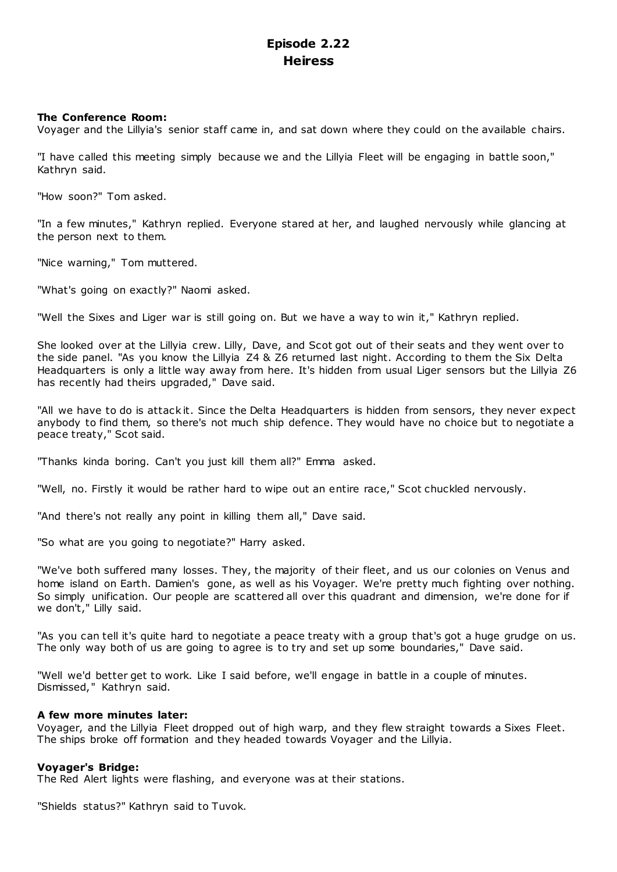# **Episode 2.22 Heiress**

# **The Conference Room:**

Voyager and the Lillyia's senior staff came in, and sat down where they could on the available chairs.

"I have called this meeting simply because we and the Lillyia Fleet will be engaging in battle soon," Kathryn said.

"How soon?" Tom asked.

"In a few minutes," Kathryn replied. Everyone stared at her, and laughed nervously while glancing at the person next to them.

"Nice warning," Tom muttered.

"What's going on exactly?" Naomi asked.

"Well the Sixes and Liger war is still going on. But we have a way to win it," Kathryn replied.

She looked over at the Lillyia crew. Lilly, Dave, and Scot got out of their seats and they went over to the side panel. "As you know the Lillyia Z4 & Z6 returned last night. According to them the Six Delta Headquarters is only a little way away from here. It's hidden from usual Liger sensors but the Lillyia Z6 has recently had theirs upgraded," Dave said.

"All we have to do is attack it. Since the Delta Headquarters is hidden from sensors, they never expect anybody to find them, so there's not much ship defence. They would have no choice but to negotiate a peace treaty," Scot said.

"Thanks kinda boring. Can't you just kill them all?" Emma asked.

"Well, no. Firstly it would be rather hard to wipe out an entire race," Scot chuckled nervously.

"And there's not really any point in killing them all," Dave said.

"So what are you going to negotiate?" Harry asked.

"We've both suffered many losses. They, the majority of their fleet, and us our colonies on Venus and home island on Earth. Damien's gone, as well as his Voyager. We're pretty much fighting over nothing. So simply unification. Our people are scattered all over this quadrant and dimension, we're done for if we don't," Lilly said.

"As you can tell it's quite hard to negotiate a peace treaty with a group that's got a huge grudge on us. The only way both of us are going to agree is to try and set up some boundaries," Dave said.

"Well we'd better get to work. Like I said before, we'll engage in battle in a couple of minutes. Dismissed," Kathryn said.

# **A few more minutes later:**

Voyager, and the Lillyia Fleet dropped out of high warp, and they flew straight towards a Sixes Fleet. The ships broke off formation and they headed towards Voyager and the Lillyia.

# **Voyager's Bridge:**

The Red Alert lights were flashing, and everyone was at their stations.

"Shields status?" Kathryn said to Tuvok.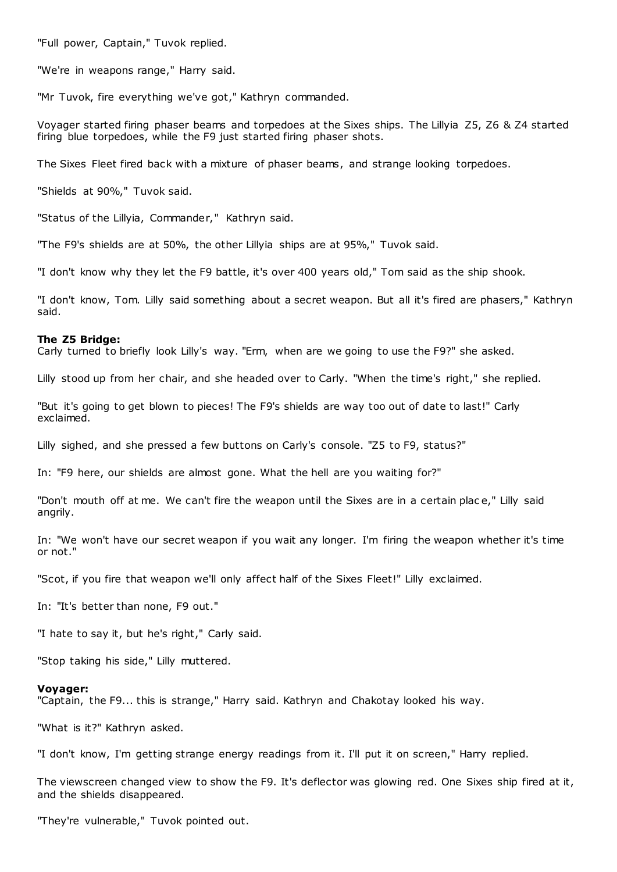"Full power, Captain," Tuvok replied.

"We're in weapons range," Harry said.

"Mr Tuvok, fire everything we've got," Kathryn commanded.

Voyager started firing phaser beams and torpedoes at the Sixes ships. The Lillyia Z5, Z6 & Z4 started firing blue torpedoes, while the F9 just started firing phaser shots.

The Sixes Fleet fired back with a mixture of phaser beams, and strange looking torpedoes.

"Shields at 90%," Tuvok said.

"Status of the Lillyia, Commander," Kathryn said.

"The F9's shields are at 50%, the other Lillyia ships are at 95%," Tuvok said.

"I don't know why they let the F9 battle, it's over 400 years old," Tom said as the ship shook.

"I don't know, Tom. Lilly said something about a secret weapon. But all it's fired are phasers," Kathryn said.

#### **The Z5 Bridge:**

Carly turned to briefly look Lilly's way. "Erm, when are we going to use the F9?" she asked.

Lilly stood up from her chair, and she headed over to Carly. "When the time's right," she replied.

"But it's going to get blown to pieces! The F9's shields are way too out of date to last!" Carly exclaimed.

Lilly sighed, and she pressed a few buttons on Carly's console. "Z5 to F9, status?"

In: "F9 here, our shields are almost gone. What the hell are you waiting for?"

"Don't mouth off at me. We can't fire the weapon until the Sixes are in a certain plac e," Lilly said angrily.

In: "We won't have our secret weapon if you wait any longer. I'm firing the weapon whether it's time or not."

"Scot, if you fire that weapon we'll only affect half of the Sixes Fleet!" Lilly exclaimed.

In: "It's better than none, F9 out."

"I hate to say it, but he's right," Carly said.

"Stop taking his side," Lilly muttered.

#### **Voyager:**

"Captain, the F9... this is strange," Harry said. Kathryn and Chakotay looked his way.

"What is it?" Kathryn asked.

"I don't know, I'm getting strange energy readings from it. I'll put it on screen," Harry replied.

The viewscreen changed view to show the F9. It's deflector was glowing red. One Sixes ship fired at it, and the shields disappeared.

"They're vulnerable," Tuvok pointed out.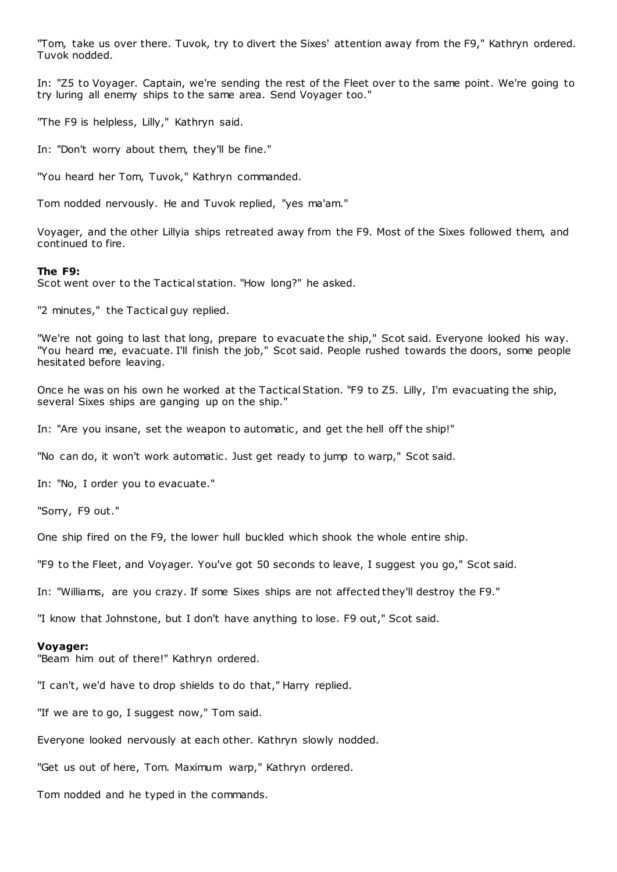"Tom, take us over there. Tuvok, try to divert the Sixes' attention away from the F9," Kathryn ordered. Tuvok nodded.

In: "Z5 to Voyager. Captain, we're sending the rest of the Fleet over to the same point. We're going to try luring all enemy ships to the same area. Send Voyager too."

"The F9 is helpless, Lilly," Kathryn said.

In: "Don't worry about them, they'll be fine."

"You heard her Tom, Tuvok," Kathryn commanded.

Tom nodded nervously. He and Tuvok replied, "yes ma'am."

Voyager, and the other Lillyia ships retreated away from the F9. Most of the Sixes followed them, and continued to fire.

## **The F9:**

Scot went over to the Tactical station. "How long?" he asked.

"2 minutes," the Tactical guy replied.

"We're not going to last that long, prepare to evacuate the ship," Scot said. Everyone looked his way. "You heard me, evacuate. I'll finish the job," Scot said. People rushed towards the doors, some people hesitated before leaving.

Once he was on his own he worked at the Tactical Station. "F9 to Z5. Lilly, I'm evacuating the ship, several Sixes ships are ganging up on the ship."

In: "Are you insane, set the weapon to automatic, and get the hell off the ship!"

"No can do, it won't work automatic . Just get ready to jump to warp," Scot said.

In: "No, I order you to evacuate."

"Sorry, F9 out."

One ship fired on the F9, the lower hull buckled which shook the whole entire ship.

"F9 to the Fleet, and Voyager. You've got 50 seconds to leave, I suggest you go," Scot said.

In: "Williams, are you crazy. If some Sixes ships are not affected they'll destroy the F9."

"I know that Johnstone, but I don't have anything to lose. F9 out," Scot said.

## **Voyager:**

"Beam him out of there!" Kathryn ordered.

"I can't, we'd have to drop shields to do that," Harry replied.

"If we are to go, I suggest now," Tom said.

Everyone looked nervously at each other. Kathryn slowly nodded.

"Get us out of here, Tom. Maximum warp," Kathryn ordered.

Tom nodded and he typed in the commands.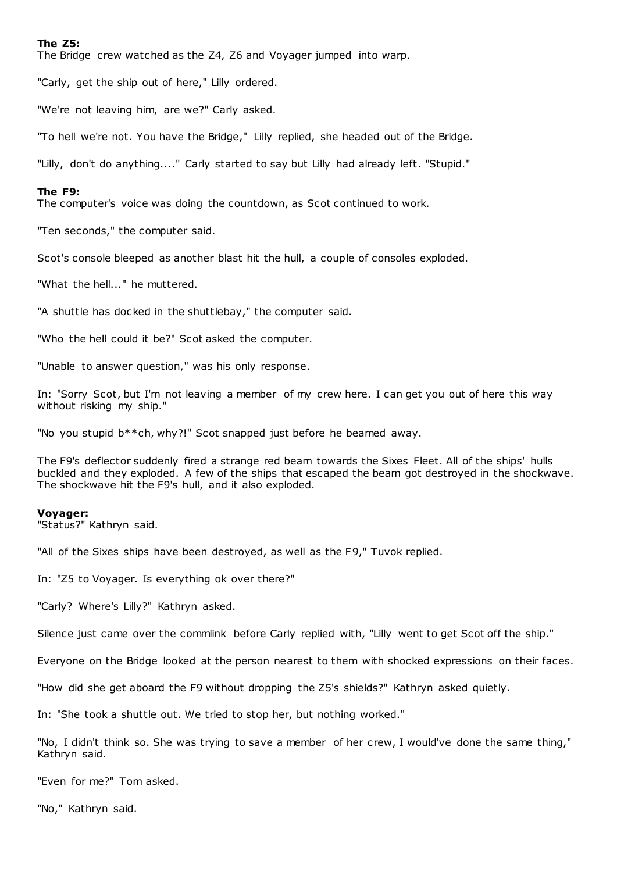# **The Z5:**

The Bridge crew watched as the Z4, Z6 and Voyager jumped into warp.

"Carly, get the ship out of here," Lilly ordered.

"We're not leaving him, are we?" Carly asked.

"To hell we're not. You have the Bridge," Lilly replied, she headed out of the Bridge.

"Lilly, don't do anything...." Carly started to say but Lilly had already left. "Stupid."

# **The F9:**

The computer's voice was doing the countdown, as Scot continued to work.

"Ten seconds," the computer said.

Scot's console bleeped as another blast hit the hull, a couple of consoles exploded.

"What the hell..." he muttered.

"A shuttle has docked in the shuttlebay," the computer said.

"Who the hell could it be?" Scot asked the computer.

"Unable to answer question," was his only response.

In: "Sorry Scot, but I'm not leaving a member of my crew here. I can get you out of here this way without risking my ship."

"No you stupid b\*\*ch, why?!" Scot snapped just before he beamed away.

The F9's deflector suddenly fired a strange red beam towards the Sixes Fleet. All of the ships' hulls buckled and they exploded. A few of the ships that escaped the beam got destroyed in the shockwave. The shockwave hit the F9's hull, and it also exploded.

## **Voyager:**

"Status?" Kathryn said.

"All of the Sixes ships have been destroyed, as well as the F9," Tuvok replied.

In: "Z5 to Voyager. Is everything ok over there?"

"Carly? Where's Lilly?" Kathryn asked.

Silence just came over the commlink before Carly replied with, "Lilly went to get Scot off the ship."

Everyone on the Bridge looked at the person nearest to them with shocked expressions on their faces.

"How did she get aboard the F9 without dropping the Z5's shields?" Kathryn asked quietly.

In: "She took a shuttle out. We tried to stop her, but nothing worked."

"No, I didn't think so. She was trying to save a member of her crew, I would've done the same thing," Kathryn said.

"Even for me?" Tom asked.

"No," Kathryn said.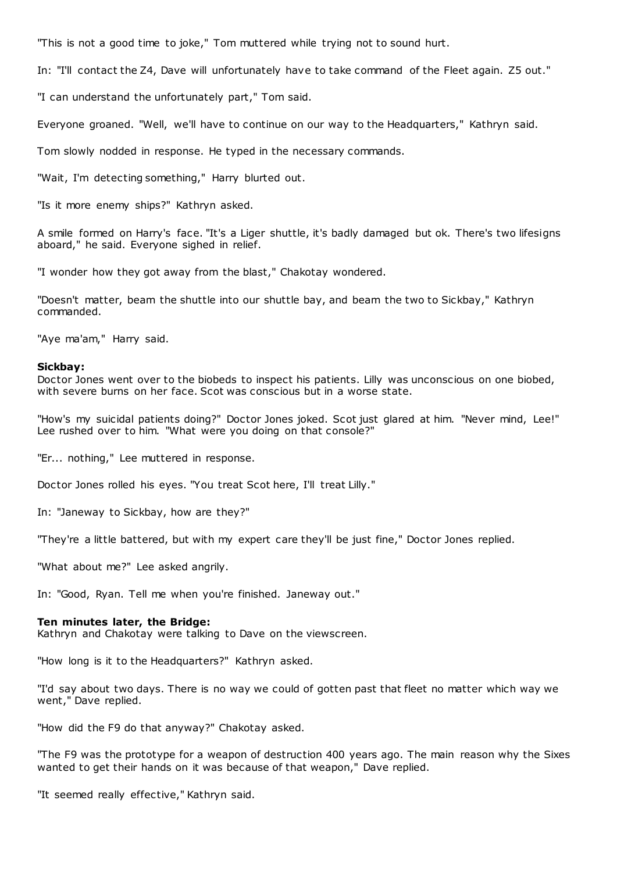"This is not a good time to joke," Tom muttered while trying not to sound hurt.

In: "I'll contact the Z4, Dave will unfortunately have to take command of the Fleet again. Z5 out."

"I can understand the unfortunately part," Tom said.

Everyone groaned. "Well, we'll have to continue on our way to the Headquarters," Kathryn said.

Tom slowly nodded in response. He typed in the necessary commands.

"Wait, I'm detecting something," Harry blurted out.

"Is it more enemy ships?" Kathryn asked.

A smile formed on Harry's face. "It's a Liger shuttle, it's badly damaged but ok. There's two lifesigns aboard," he said. Everyone sighed in relief.

"I wonder how they got away from the blast," Chakotay wondered.

"Doesn't matter, beam the shuttle into our shuttle bay, and beam the two to Sickbay," Kathryn commanded.

"Aye ma'am," Harry said.

## **Sickbay:**

Doctor Jones went over to the biobeds to inspect his patients. Lilly was unconscious on one biobed, with severe burns on her face. Scot was conscious but in a worse state.

"How's my suicidal patients doing?" Doctor Jones joked. Scot just glared at him. "Never mind, Lee!" Lee rushed over to him. "What were you doing on that console?"

"Er... nothing," Lee muttered in response.

Doctor Jones rolled his eyes. "You treat Scot here, I'll treat Lilly."

In: "Janeway to Sickbay, how are they?"

"They're a little battered, but with my expert care they'll be just fine," Doctor Jones replied.

"What about me?" Lee asked angrily.

In: "Good, Ryan. Tell me when you're finished. Janeway out."

## **Ten minutes later, the Bridge:**

Kathryn and Chakotay were talking to Dave on the viewscreen.

"How long is it to the Headquarters?" Kathryn asked.

"I'd say about two days. There is no way we could of gotten past that fleet no matter which way we went," Dave replied.

"How did the F9 do that anyway?" Chakotay asked.

"The F9 was the prototype for a weapon of destruction 400 years ago. The main reason why the Sixes wanted to get their hands on it was because of that weapon," Dave replied.

"It seemed really effective," Kathryn said.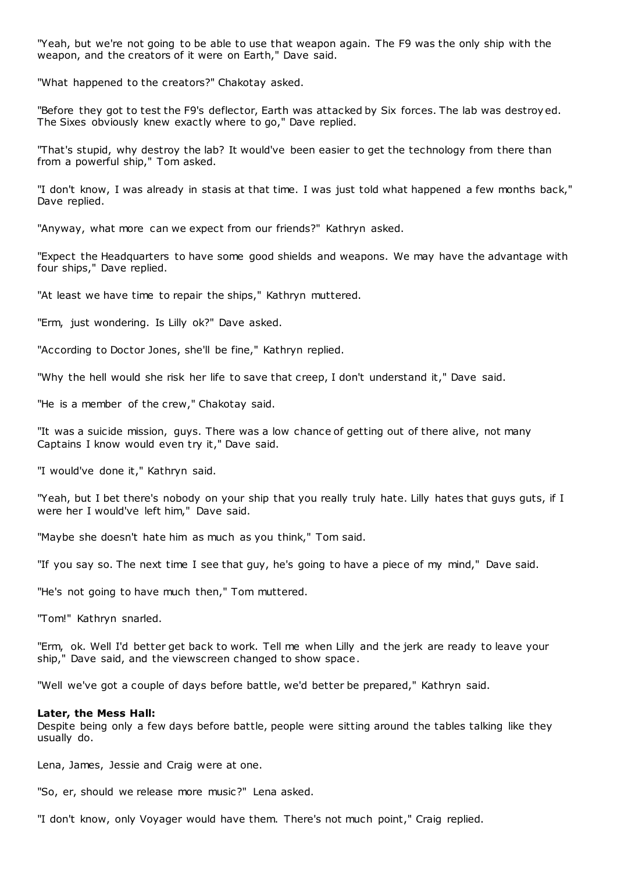"Yeah, but we're not going to be able to use that weapon again. The F9 was the only ship with the weapon, and the creators of it were on Earth," Dave said.

"What happened to the creators?" Chakotay asked.

"Before they got to test the F9's deflector, Earth was attacked by Six forces. The lab was destroy ed. The Sixes obviously knew exactly where to go," Dave replied.

"That's stupid, why destroy the lab? It would've been easier to get the technology from there than from a powerful ship," Tom asked.

"I don't know, I was already in stasis at that time. I was just told what happened a few months back," Dave replied.

"Anyway, what more can we expect from our friends?" Kathryn asked.

"Expect the Headquarters to have some good shields and weapons. We may have the advantage with four ships," Dave replied.

"At least we have time to repair the ships," Kathryn muttered.

"Erm, just wondering. Is Lilly ok?" Dave asked.

"According to Doctor Jones, she'll be fine," Kathryn replied.

"Why the hell would she risk her life to save that creep, I don't understand it," Dave said.

"He is a member of the crew," Chakotay said.

"It was a suicide mission, guys. There was a low chance of getting out of there alive, not many Captains I know would even try it," Dave said.

"I would've done it," Kathryn said.

"Yeah, but I bet there's nobody on your ship that you really truly hate. Lilly hates that guys guts, if I were her I would've left him," Dave said.

"Maybe she doesn't hate him as much as you think," Tom said.

"If you say so. The next time I see that guy, he's going to have a piece of my mind," Dave said.

"He's not going to have much then," Tom muttered.

"Tom!" Kathryn snarled.

"Erm, ok. Well I'd better get back to work. Tell me when Lilly and the jerk are ready to leave your ship," Dave said, and the viewscreen changed to show space.

"Well we've got a couple of days before battle, we'd better be prepared," Kathryn said.

# **Later, the Mess Hall:**

Despite being only a few days before battle, people were sitting around the tables talking like they usually do.

Lena, James, Jessie and Craig were at one.

"So, er, should we release more music?" Lena asked.

"I don't know, only Voyager would have them. There's not much point," Craig replied.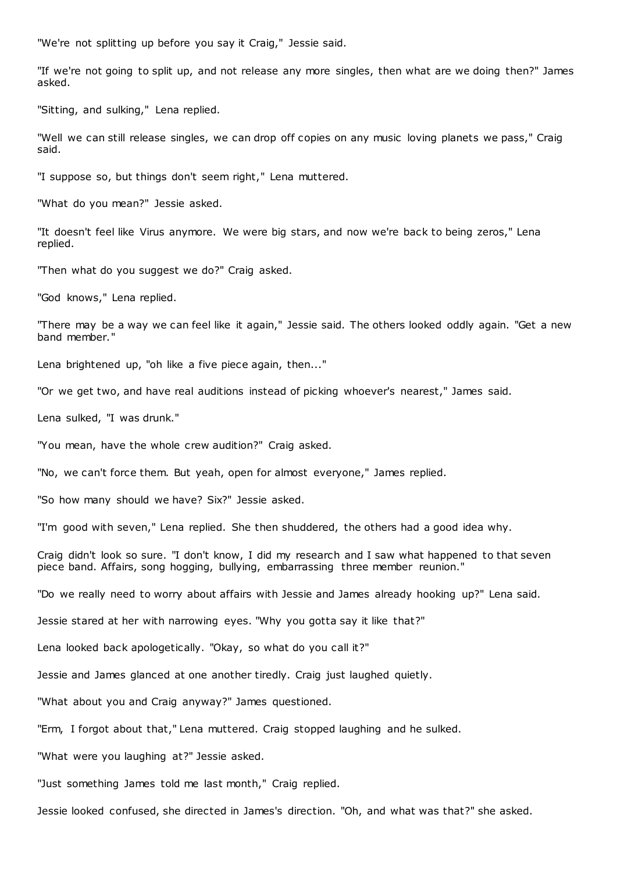"We're not splitting up before you say it Craig," Jessie said.

"If we're not going to split up, and not release any more singles, then what are we doing then?" James asked.

"Sitting, and sulking," Lena replied.

"Well we can still release singles, we can drop off copies on any music loving planets we pass," Craig said.

"I suppose so, but things don't seem right," Lena muttered.

"What do you mean?" Jessie asked.

"It doesn't feel like Virus anymore. We were big stars, and now we're back to being zeros," Lena replied.

"Then what do you suggest we do?" Craig asked.

"God knows," Lena replied.

"There may be a way we can feel like it again," Jessie said. The others looked oddly again. "Get a new band member."

Lena brightened up, "oh like a five piece again, then..."

"Or we get two, and have real auditions instead of picking whoever's nearest," James said.

Lena sulked, "I was drunk."

"You mean, have the whole crew audition?" Craig asked.

"No, we can't force them. But yeah, open for almost everyone," James replied.

"So how many should we have? Six?" Jessie asked.

"I'm good with seven," Lena replied. She then shuddered, the others had a good idea why.

Craig didn't look so sure. "I don't know, I did my research and I saw what happened to that seven piece band. Affairs, song hogging, bullying, embarrassing three member reunion."

"Do we really need to worry about affairs with Jessie and James already hooking up?" Lena said.

Jessie stared at her with narrowing eyes. "Why you gotta say it like that?"

Lena looked back apologetically. "Okay, so what do you call it?"

Jessie and James glanced at one another tiredly. Craig just laughed quietly.

"What about you and Craig anyway?" James questioned.

"Erm, I forgot about that," Lena muttered. Craig stopped laughing and he sulked.

"What were you laughing at?" Jessie asked.

"Just something James told me last month," Craig replied.

Jessie looked confused, she directed in James's direction. "Oh, and what was that?" she asked.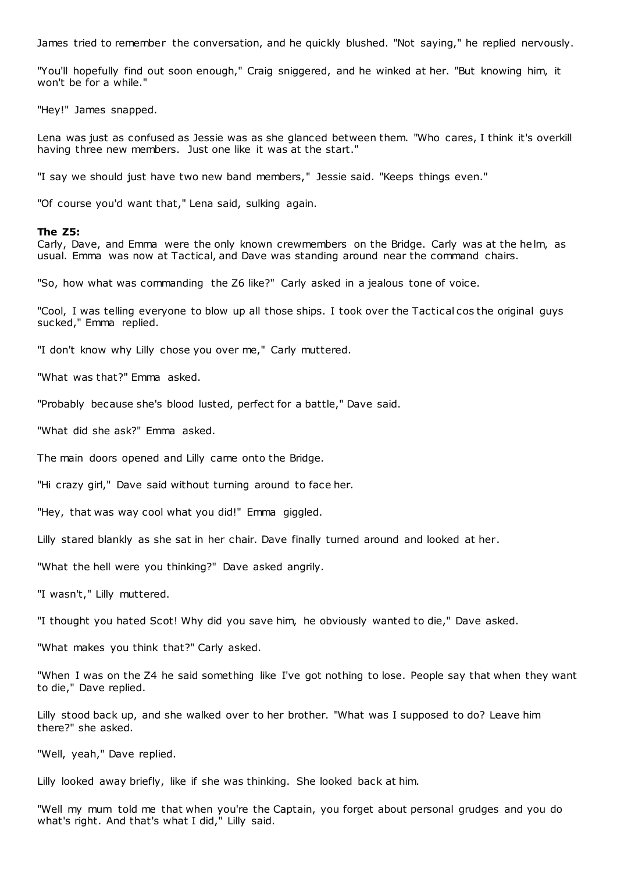James tried to remember the conversation, and he quickly blushed. "Not saying," he replied nervously.

"You'll hopefully find out soon enough," Craig sniggered, and he winked at her. "But knowing him, it won't be for a while."

"Hey!" James snapped.

Lena was just as confused as Jessie was as she glanced between them. "Who cares, I think it's overkill having three new members. Just one like it was at the start."

"I say we should just have two new band members," Jessie said. "Keeps things even."

"Of course you'd want that," Lena said, sulking again.

#### **The Z5:**

Carly, Dave, and Emma were the only known crewmembers on the Bridge. Carly was at the helm, as usual. Emma was now at Tactical, and Dave was standing around near the command chairs.

"So, how what was commanding the Z6 like?" Carly asked in a jealous tone of voice.

"Cool, I was telling everyone to blow up all those ships. I took over the Tactical cos the original guys sucked," Emma replied.

"I don't know why Lilly chose you over me," Carly muttered.

"What was that?" Emma asked.

"Probably because she's blood lusted, perfect for a battle," Dave said.

"What did she ask?" Emma asked.

The main doors opened and Lilly came onto the Bridge.

"Hi crazy girl," Dave said without turning around to face her.

"Hey, that was way cool what you did!" Emma giggled.

Lilly stared blankly as she sat in her chair. Dave finally turned around and looked at her.

"What the hell were you thinking?" Dave asked angrily.

"I wasn't," Lilly muttered.

"I thought you hated Scot! Why did you save him, he obviously wanted to die," Dave asked.

"What makes you think that?" Carly asked.

"When I was on the Z4 he said something like I've got nothing to lose. People say that when they want to die," Dave replied.

Lilly stood back up, and she walked over to her brother. "What was I supposed to do? Leave him there?" she asked.

"Well, yeah," Dave replied.

Lilly looked away briefly, like if she was thinking. She looked back at him.

"Well my mum told me that when you're the Captain, you forget about personal grudges and you do what's right. And that's what I did," Lilly said.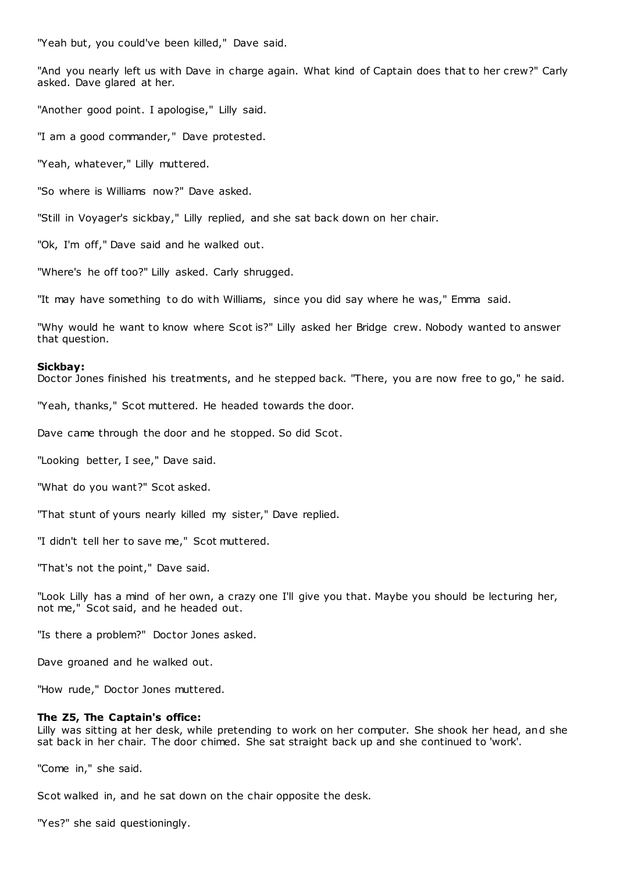"Yeah but, you could've been killed," Dave said.

"And you nearly left us with Dave in charge again. What kind of Captain does that to her crew?" Carly asked. Dave glared at her.

"Another good point. I apologise," Lilly said.

"I am a good commander," Dave protested.

"Yeah, whatever," Lilly muttered.

"So where is Williams now?" Dave asked.

"Still in Voyager's sickbay," Lilly replied, and she sat back down on her chair.

"Ok, I'm off," Dave said and he walked out.

"Where's he off too?" Lilly asked. Carly shrugged.

"It may have something to do with Williams, since you did say where he was," Emma said.

"Why would he want to know where Scot is?" Lilly asked her Bridge crew. Nobody wanted to answer that question.

# **Sickbay:**

Doctor Jones finished his treatments, and he stepped back. "There, you are now free to go," he said.

"Yeah, thanks," Scot muttered. He headed towards the door.

Dave came through the door and he stopped. So did Scot.

"Looking better, I see," Dave said.

"What do you want?" Scot asked.

"That stunt of yours nearly killed my sister," Dave replied.

"I didn't tell her to save me," Scot muttered.

"That's not the point," Dave said.

"Look Lilly has a mind of her own, a crazy one I'll give you that. Maybe you should be lecturing her, not me," Scot said, and he headed out.

"Is there a problem?" Doctor Jones asked.

Dave groaned and he walked out.

"How rude," Doctor Jones muttered.

# **The Z5, The Captain's office:**

Lilly was sitting at her desk, while pretending to work on her computer. She shook her head, and she sat back in her chair. The door chimed. She sat straight back up and she continued to 'work'.

"Come in," she said.

Scot walked in, and he sat down on the chair opposite the desk.

"Yes?" she said questioningly.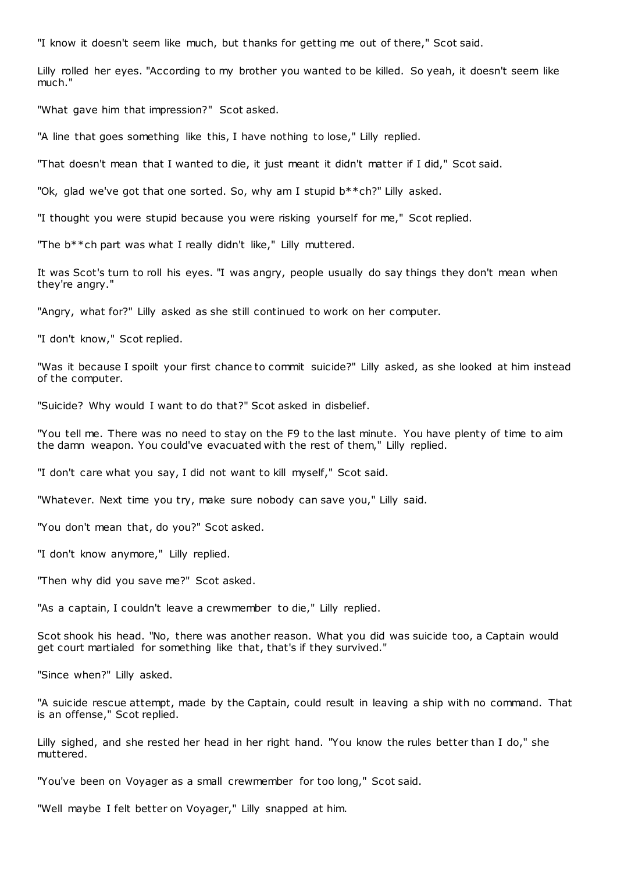"I know it doesn't seem like much, but thanks for getting me out of there," Scot said.

Lilly rolled her eyes. "According to my brother you wanted to be killed. So yeah, it doesn't seem like much."

"What gave him that impression?" Scot asked.

"A line that goes something like this, I have nothing to lose," Lilly replied.

"That doesn't mean that I wanted to die, it just meant it didn't matter if I did," Scot said.

"Ok, glad we've got that one sorted. So, why am I stupid b\*\*ch?" Lilly asked.

"I thought you were stupid because you were risking yourself for me," Scot replied.

"The b\*\*ch part was what I really didn't like," Lilly muttered.

It was Scot's turn to roll his eyes. "I was angry, people usually do say things they don't mean when they're angry."

"Angry, what for?" Lilly asked as she still continued to work on her computer.

"I don't know," Scot replied.

"Was it because I spoilt your first chance to commit suicide?" Lilly asked, as she looked at him instead of the computer.

"Suicide? Why would I want to do that?" Scot asked in disbelief.

"You tell me. There was no need to stay on the F9 to the last minute. You have plenty of time to aim the damn weapon. You could've evacuated with the rest of them," Lilly replied.

"I don't care what you say, I did not want to kill myself," Scot said.

"Whatever. Next time you try, make sure nobody can save you," Lilly said.

"You don't mean that, do you?" Scot asked.

"I don't know anymore," Lilly replied.

"Then why did you save me?" Scot asked.

"As a captain, I couldn't leave a crewmember to die," Lilly replied.

Scot shook his head. "No, there was another reason. What you did was suicide too, a Captain would get court martialed for something like that, that's if they survived."

"Since when?" Lilly asked.

"A suicide rescue attempt, made by the Captain, could result in leaving a ship with no command. That is an offense," Scot replied.

Lilly sighed, and she rested her head in her right hand. "You know the rules better than I do," she muttered.

"You've been on Voyager as a small crewmember for too long," Scot said.

"Well maybe I felt better on Voyager," Lilly snapped at him.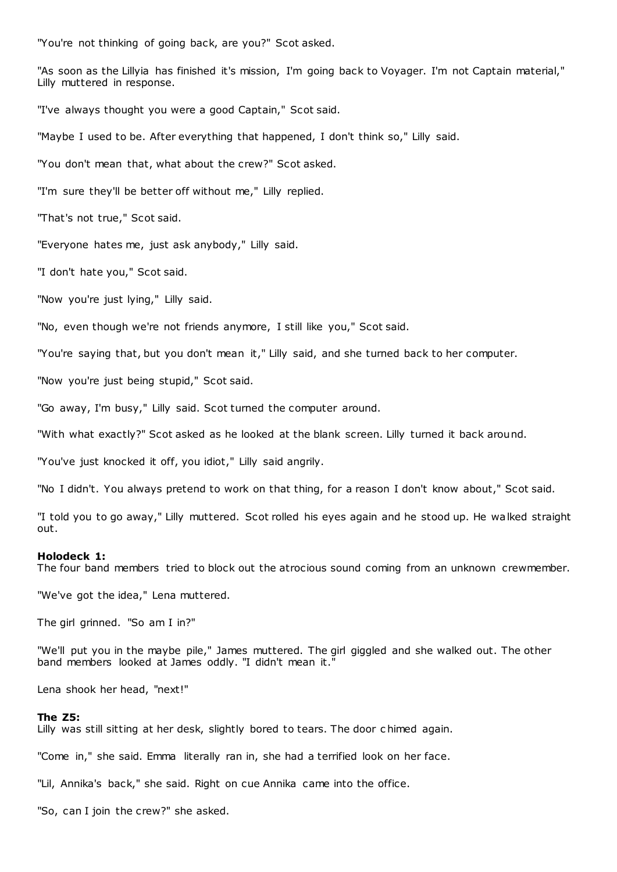"You're not thinking of going back, are you?" Scot asked.

"As soon as the Lillyia has finished it's mission, I'm going back to Voyager. I'm not Captain material," Lilly muttered in response.

"I've always thought you were a good Captain," Scot said.

"Maybe I used to be. After everything that happened, I don't think so," Lilly said.

"You don't mean that, what about the crew?" Scot asked.

"I'm sure they'll be better off without me," Lilly replied.

"That's not true," Scot said.

"Everyone hates me, just ask anybody," Lilly said.

"I don't hate you," Scot said.

"Now you're just lying," Lilly said.

"No, even though we're not friends anymore, I still like you," Scot said.

"You're saying that, but you don't mean it," Lilly said, and she turned back to her computer.

"Now you're just being stupid," Scot said.

"Go away, I'm busy," Lilly said. Scot turned the computer around.

"With what exactly?" Scot asked as he looked at the blank screen. Lilly turned it back around.

"You've just knocked it off, you idiot," Lilly said angrily.

"No I didn't. You always pretend to work on that thing, for a reason I don't know about," Scot said.

"I told you to go away," Lilly muttered. Scot rolled his eyes again and he stood up. He walked straight out.

#### **Holodeck 1:**

The four band members tried to block out the atrocious sound coming from an unknown crewmember.

"We've got the idea," Lena muttered.

The girl grinned. "So am I in?"

"We'll put you in the maybe pile," James muttered. The girl giggled and she walked out. The other band members looked at James oddly. "I didn't mean it."

Lena shook her head, "next!"

# **The Z5:**

Lilly was still sitting at her desk, slightly bored to tears. The door c himed again.

"Come in," she said. Emma literally ran in, she had a terrified look on her face.

"Lil, Annika's back," she said. Right on cue Annika came into the office.

"So, can I join the crew?" she asked.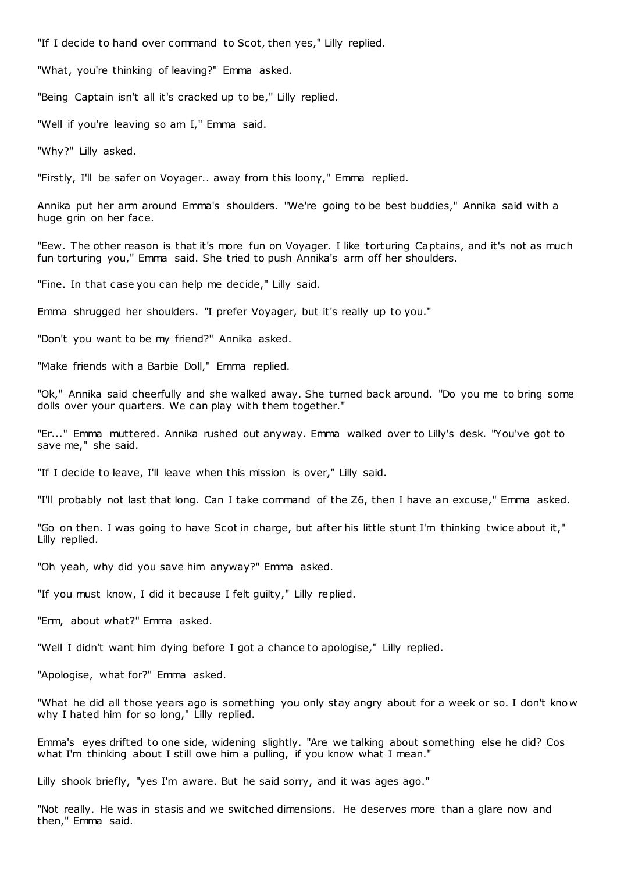"If I decide to hand over command to Scot, then yes," Lilly replied.

"What, you're thinking of leaving?" Emma asked.

"Being Captain isn't all it's cracked up to be," Lilly replied.

"Well if you're leaving so am I," Emma said.

"Why?" Lilly asked.

"Firstly, I'll be safer on Voyager.. away from this loony," Emma replied.

Annika put her arm around Emma's shoulders. "We're going to be best buddies," Annika said with a huge grin on her face.

"Eew. The other reason is that it's more fun on Voyager. I like torturing Captains, and it's not as much fun torturing you," Emma said. She tried to push Annika's arm off her shoulders.

"Fine. In that case you can help me decide," Lilly said.

Emma shrugged her shoulders. "I prefer Voyager, but it's really up to you."

"Don't you want to be my friend?" Annika asked.

"Make friends with a Barbie Doll," Emma replied.

"Ok," Annika said cheerfully and she walked away. She turned back around. "Do you me to bring some dolls over your quarters. We can play with them together."

"Er..." Emma muttered. Annika rushed out anyway. Emma walked over to Lilly's desk. "You've got to save me," she said.

"If I decide to leave, I'll leave when this mission is over," Lilly said.

"I'll probably not last that long. Can I take command of the Z6, then I have an excuse," Emma asked.

"Go on then. I was going to have Scot in charge, but after his little stunt I'm thinking twice about it," Lilly replied.

"Oh yeah, why did you save him anyway?" Emma asked.

"If you must know, I did it because I felt guilty," Lilly replied.

"Erm, about what?" Emma asked.

"Well I didn't want him dying before I got a chance to apologise," Lilly replied.

"Apologise, what for?" Emma asked.

"What he did all those years ago is something you only stay angry about for a week or so. I don't kno w why I hated him for so long," Lilly replied.

Emma's eyes drifted to one side, widening slightly. "Are we talking about something else he did? Cos what I'm thinking about I still owe him a pulling, if you know what I mean."

Lilly shook briefly, "yes I'm aware. But he said sorry, and it was ages ago."

"Not really. He was in stasis and we switched dimensions. He deserves more than a glare now and then," Emma said.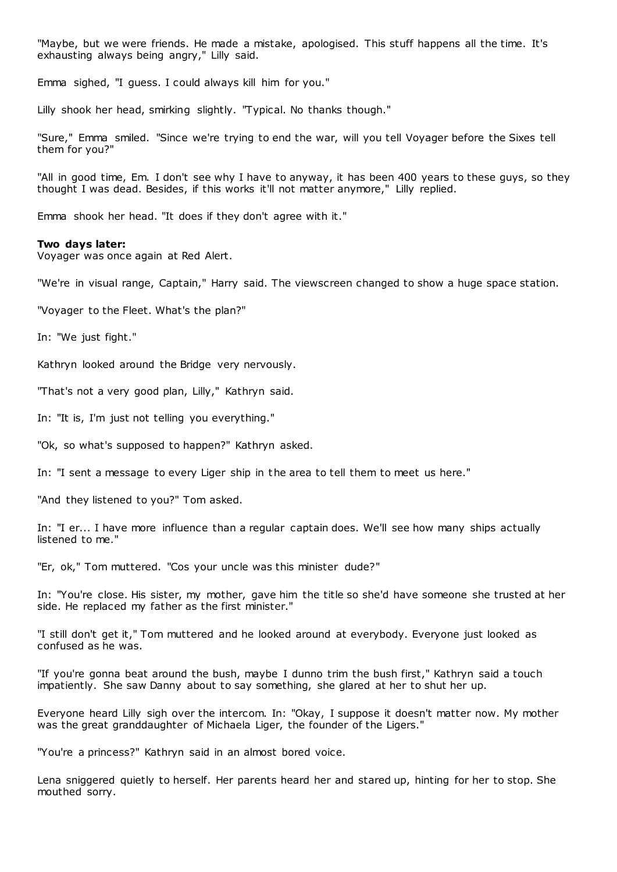"Maybe, but we were friends. He made a mistake, apologised. This stuff happens all the time. It's exhausting always being angry," Lilly said.

Emma sighed, "I guess. I could always kill him for you."

Lilly shook her head, smirking slightly. "Typical. No thanks though."

"Sure," Emma smiled. "Since we're trying to end the war, will you tell Voyager before the Sixes tell them for you?"

"All in good time, Em. I don't see why I have to anyway, it has been 400 years to these guys, so they thought I was dead. Besides, if this works it'll not matter anymore," Lilly replied.

Emma shook her head. "It does if they don't agree with it."

#### **Two days later:**

Voyager was once again at Red Alert.

"We're in visual range, Captain," Harry said. The viewscreen changed to show a huge space station.

"Voyager to the Fleet. What's the plan?"

In: "We just fight."

Kathryn looked around the Bridge very nervously.

"That's not a very good plan, Lilly," Kathryn said.

In: "It is, I'm just not telling you everything."

"Ok, so what's supposed to happen?" Kathryn asked.

In: "I sent a message to every Liger ship in the area to tell them to meet us here."

"And they listened to you?" Tom asked.

In: "I er... I have more influence than a regular captain does. We'll see how many ships actually listened to me."

"Er, ok," Tom muttered. "Cos your uncle was this minister dude?"

In: "You're close. His sister, my mother, gave him the title so she'd have someone she trusted at her side. He replaced my father as the first minister."

"I still don't get it," Tom muttered and he looked around at everybody. Everyone just looked as confused as he was.

"If you're gonna beat around the bush, maybe I dunno trim the bush first," Kathryn said a touch impatiently. She saw Danny about to say something, she glared at her to shut her up.

Everyone heard Lilly sigh over the intercom. In: "Okay, I suppose it doesn't matter now. My mother was the great granddaughter of Michaela Liger, the founder of the Ligers."

"You're a princess?" Kathryn said in an almost bored voice.

Lena sniggered quietly to herself. Her parents heard her and stared up, hinting for her to stop. She mouthed sorry.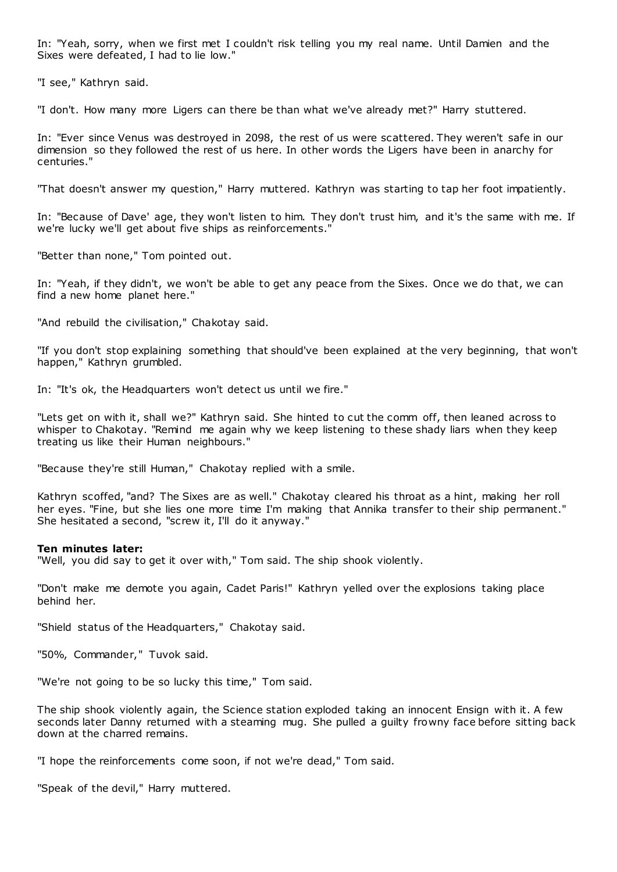In: "Yeah, sorry, when we first met I couldn't risk telling you my real name. Until Damien and the Sixes were defeated, I had to lie low."

"I see," Kathryn said.

"I don't. How many more Ligers can there be than what we've already met?" Harry stuttered.

In: "Ever since Venus was destroyed in 2098, the rest of us were scattered. They weren't safe in our dimension so they followed the rest of us here. In other words the Ligers have been in anarchy for centuries."

"That doesn't answer my question," Harry muttered. Kathryn was starting to tap her foot impatiently.

In: "Because of Dave' age, they won't listen to him. They don't trust him, and it's the same with me. If we're lucky we'll get about five ships as reinforcements."

"Better than none," Tom pointed out.

In: "Yeah, if they didn't, we won't be able to get any peace from the Sixes. Once we do that, we can find a new home planet here."

"And rebuild the civilisation," Chakotay said.

"If you don't stop explaining something that should've been explained at the very beginning, that won't happen," Kathryn grumbled.

In: "It's ok, the Headquarters won't detect us until we fire."

"Lets get on with it, shall we?" Kathryn said. She hinted to cut the comm off, then leaned across to whisper to Chakotay. "Remind me again why we keep listening to these shady liars when they keep treating us like their Human neighbours."

"Because they're still Human," Chakotay replied with a smile.

Kathryn scoffed, "and? The Sixes are as well." Chakotay cleared his throat as a hint, making her roll her eyes. "Fine, but she lies one more time I'm making that Annika transfer to their ship permanent." She hesitated a second, "screw it, I'll do it anyway."

# **Ten minutes later:**

"Well, you did say to get it over with," Tom said. The ship shook violently.

"Don't make me demote you again, Cadet Paris!" Kathryn yelled over the explosions taking place behind her.

"Shield status of the Headquarters," Chakotay said.

"50%, Commander," Tuvok said.

"We're not going to be so lucky this time," Tom said.

The ship shook violently again, the Science station exploded taking an innocent Ensign with it. A few seconds later Danny returned with a steaming mug. She pulled a guilty frowny face before sitting back down at the charred remains.

"I hope the reinforcements come soon, if not we're dead," Tom said.

"Speak of the devil," Harry muttered.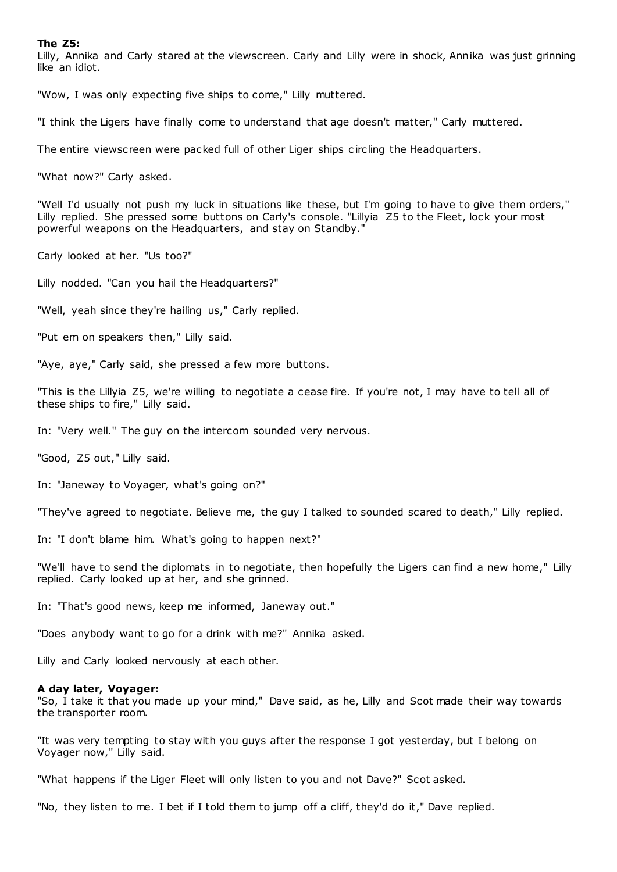# **The Z5:**

Lilly, Annika and Carly stared at the viewscreen. Carly and Lilly were in shock, Annika was just grinning like an idiot.

"Wow, I was only expecting five ships to come," Lilly muttered.

"I think the Ligers have finally come to understand that age doesn't matter," Carly muttered.

The entire viewscreen were packed full of other Liger ships c ircling the Headquarters.

"What now?" Carly asked.

"Well I'd usually not push my luck in situations like these, but I'm going to have to give them orders," Lilly replied. She pressed some buttons on Carly's console. "Lillyia Z5 to the Fleet, lock your most powerful weapons on the Headquarters, and stay on Standby."

Carly looked at her. "Us too?"

Lilly nodded. "Can you hail the Headquarters?"

"Well, yeah since they're hailing us," Carly replied.

"Put em on speakers then," Lilly said.

"Aye, aye," Carly said, she pressed a few more buttons.

"This is the Lillyia Z5, we're willing to negotiate a cease fire. If you're not, I may have to tell all of these ships to fire," Lilly said.

In: "Very well." The guy on the intercom sounded very nervous.

"Good, Z5 out," Lilly said.

In: "Janeway to Voyager, what's going on?"

"They've agreed to negotiate. Believe me, the guy I talked to sounded scared to death," Lilly replied.

In: "I don't blame him. What's going to happen next?"

"We'll have to send the diplomats in to negotiate, then hopefully the Ligers can find a new home," Lilly replied. Carly looked up at her, and she grinned.

In: "That's good news, keep me informed, Janeway out."

"Does anybody want to go for a drink with me?" Annika asked.

Lilly and Carly looked nervously at each other.

## **A day later, Voyager:**

"So, I take it that you made up your mind," Dave said, as he, Lilly and Scot made their way towards the transporter room.

"It was very tempting to stay with you guys after the response I got yesterday, but I belong on Voyager now," Lilly said.

"What happens if the Liger Fleet will only listen to you and not Dave?" Scot asked.

"No, they listen to me. I bet if I told them to jump off a cliff, they'd do it," Dave replied.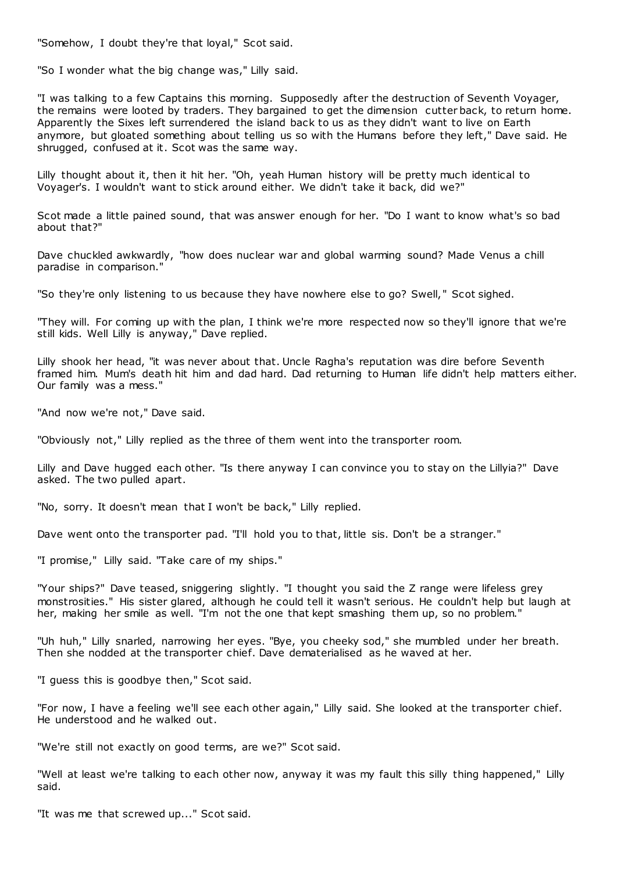"Somehow, I doubt they're that loyal," Scot said.

"So I wonder what the big change was," Lilly said.

"I was talking to a few Captains this morning. Supposedly after the destruction of Seventh Voyager, the remains were looted by traders. They bargained to get the dimension cutter back, to return home. Apparently the Sixes left surrendered the island back to us as they didn't want to live on Earth anymore, but gloated something about telling us so with the Humans before they left," Dave said. He shrugged, confused at it. Scot was the same way.

Lilly thought about it, then it hit her. "Oh, yeah Human history will be pretty much identical to Voyager's. I wouldn't want to stick around either. We didn't take it back, did we?"

Scot made a little pained sound, that was answer enough for her. "Do I want to know what's so bad about that?"

Dave chuckled awkwardly, "how does nuclear war and global warming sound? Made Venus a chill paradise in comparison."

"So they're only listening to us because they have nowhere else to go? Swell, " Scot sighed.

"They will. For coming up with the plan, I think we're more respected now so they'll ignore that we're still kids. Well Lilly is anyway," Dave replied.

Lilly shook her head, "it was never about that. Uncle Ragha's reputation was dire before Seventh framed him. Mum's death hit him and dad hard. Dad returning to Human life didn't help matters either. Our family was a mess."

"And now we're not," Dave said.

"Obviously not," Lilly replied as the three of them went into the transporter room.

Lilly and Dave hugged each other. "Is there anyway I can convince you to stay on the Lillyia?" Dave asked. The two pulled apart.

"No, sorry. It doesn't mean that I won't be back," Lilly replied.

Dave went onto the transporter pad. "I'll hold you to that, little sis. Don't be a stranger."

"I promise," Lilly said. "Take care of my ships."

"Your ships?" Dave teased, sniggering slightly. "I thought you said the Z range were lifeless grey monstrosities." His sister glared, although he could tell it wasn't serious. He couldn't help but laugh at her, making her smile as well. "I'm not the one that kept smashing them up, so no problem."

"Uh huh," Lilly snarled, narrowing her eyes. "Bye, you cheeky sod," she mumbled under her breath. Then she nodded at the transporter chief. Dave dematerialised as he waved at her.

"I guess this is goodbye then," Scot said.

"For now, I have a feeling we'll see each other again," Lilly said. She looked at the transporter chief. He understood and he walked out.

"We're still not exactly on good terms, are we?" Scot said.

"Well at least we're talking to each other now, anyway it was my fault this silly thing happened," Lilly said.

"It was me that screwed up..." Scot said.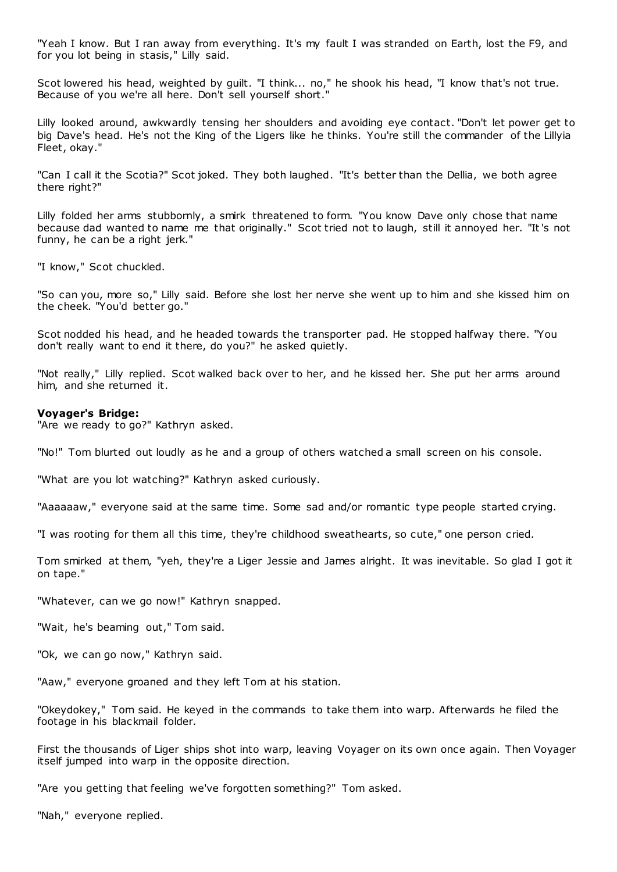"Yeah I know. But I ran away from everything. It's my fault I was stranded on Earth, lost the F9, and for you lot being in stasis," Lilly said.

Scot lowered his head, weighted by guilt. "I think... no," he shook his head, "I know that's not true. Because of you we're all here. Don't sell yourself short."

Lilly looked around, awkwardly tensing her shoulders and avoiding eye contact. "Don't let power get to big Dave's head. He's not the King of the Ligers like he thinks. You're still the commander of the Lillyia Fleet, okay."

"Can I call it the Scotia?" Scot joked. They both laughed. "It's better than the Dellia, we both agree there right?"

Lilly folded her arms stubbornly, a smirk threatened to form. "You know Dave only chose that name because dad wanted to name me that originally." Scot tried not to laugh, still it annoyed her. "It's not funny, he can be a right jerk."

"I know," Scot chuckled.

"So can you, more so," Lilly said. Before she lost her nerve she went up to him and she kissed him on the cheek. "You'd better go."

Scot nodded his head, and he headed towards the transporter pad. He stopped halfway there. "You don't really want to end it there, do you?" he asked quietly.

"Not really," Lilly replied. Scot walked back over to her, and he kissed her. She put her arms around him, and she returned it.

## **Voyager's Bridge:**

"Are we ready to go?" Kathryn asked.

"No!" Tom blurted out loudly as he and a group of others watched a small screen on his console.

"What are you lot watching?" Kathryn asked curiously.

"Aaaaaaw," everyone said at the same time. Some sad and/or romantic type people started crying.

"I was rooting for them all this time, they're childhood sweathearts, so cute," one person cried.

Tom smirked at them, "yeh, they're a Liger Jessie and James alright. It was inevitable. So glad I got it on tape."

"Whatever, can we go now!" Kathryn snapped.

"Wait, he's beaming out," Tom said.

"Ok, we can go now," Kathryn said.

"Aaw," everyone groaned and they left Tom at his station.

"Okeydokey," Tom said. He keyed in the commands to take them into warp. Afterwards he filed the footage in his blackmail folder.

First the thousands of Liger ships shot into warp, leaving Voyager on its own once again. Then Voyager itself jumped into warp in the opposite direction.

"Are you getting that feeling we've forgotten something?" Tom asked.

"Nah," everyone replied.